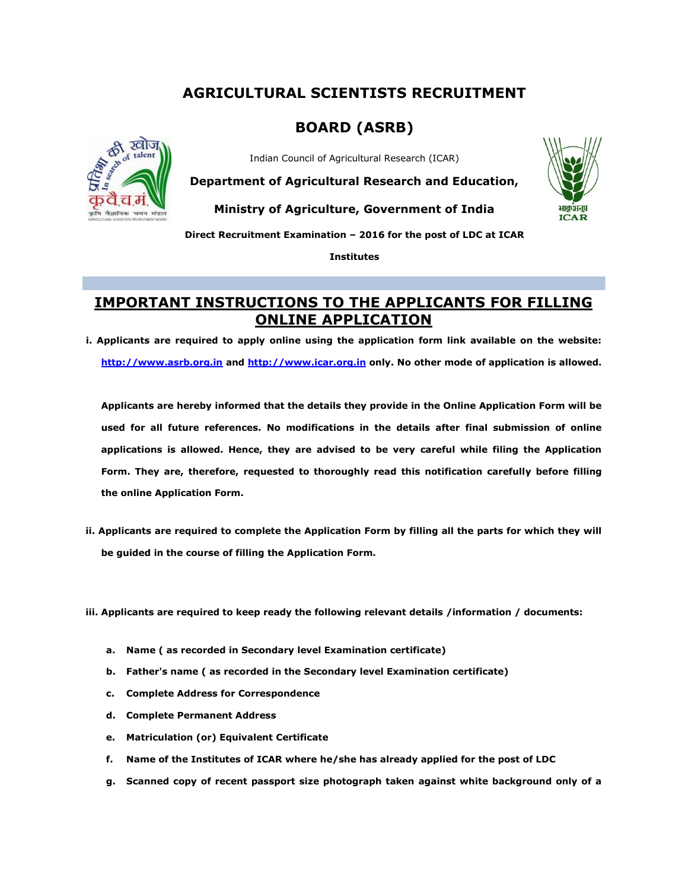## **AGRICULTURAL SCIENTISTS RECRUITMENT**

## **BOARD (ASRB)**



Indian Council of Agricultural Research (ICAR)

**Department of Agricultural Research and Education,**

**Ministry of Agriculture, Government of India** 



**Direct Recruitment Examination – 2016 for the post of LDC at ICAR** 

**Institutes**

## **IMPORTANT INSTRUCTIONS TO THE APPLICANTS FOR FILLING ONLINE APPLICATION**

**i. Applicants are required to apply online using the application form link available on the website: [http://www.asrb.org.in](http://www.asrb.org.in/) and [http://www.icar.org.in](http://www.icar.org.in/) only. No other mode of application is allowed.**

**Applicants are hereby informed that the details they provide in the Online Application Form will be used for all future references. No modifications in the details after final submission of online applications is allowed. Hence, they are advised to be very careful while filing the Application Form. They are, therefore, requested to thoroughly read this notification carefully before filling the online Application Form.**

- **ii. Applicants are required to complete the Application Form by filling all the parts for which they will be guided in the course of filling the Application Form.**
- **ii. iii. Applicants are required to keep ready the following relevant details /information / documents:** 
	- **a. Name ( as recorded in Secondary level Examination certificate)**
	- **b. Father's name ( as recorded in the Secondary level Examination certificate)**
	- **c. Complete Address for Correspondence**
	- **d. Complete Permanent Address**
	- **e. Matriculation (or) Equivalent Certificate**
	- **f. Name of the Institutes of ICAR where he/she has already applied for the post of LDC**
	- **g. Scanned copy of recent passport size photograph taken against white background only of a**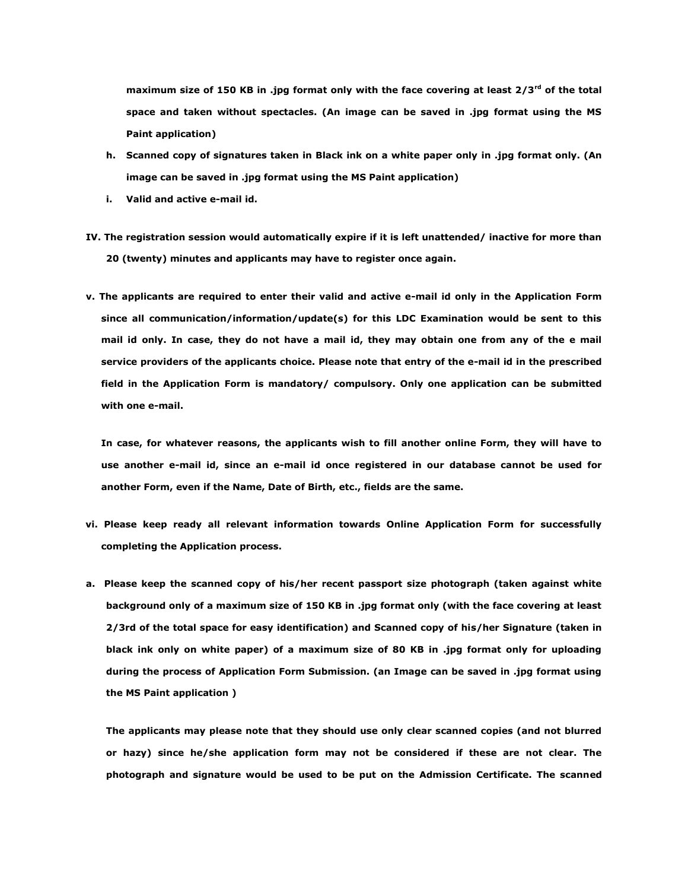**maximum size of 150 KB in .jpg format only with the face covering at least 2/3rd of the total space and taken without spectacles. (An image can be saved in .jpg format using the MS Paint application)**

- **h. Scanned copy of signatures taken in Black ink on a white paper only in .jpg format only. (An image can be saved in .jpg format using the MS Paint application)**
- **i. Valid and active e-mail id.**
- **IV. The registration session would automatically expire if it is left unattended/ inactive for more than 20 (twenty) minutes and applicants may have to register once again.**
- **v. The applicants are required to enter their valid and active e-mail id only in the Application Form since all communication/information/update(s) for this LDC Examination would be sent to this mail id only. In case, they do not have a mail id, they may obtain one from any of the e mail service providers of the applicants choice. Please note that entry of the e-mail id in the prescribed field in the Application Form is mandatory/ compulsory. Only one application can be submitted with one e-mail.**

**In case, for whatever reasons, the applicants wish to fill another online Form, they will have to use another e-mail id, since an e-mail id once registered in our database cannot be used for another Form, even if the Name, Date of Birth, etc., fields are the same.** 

- **vi. Please keep ready all relevant information towards Online Application Form for successfully completing the Application process.**
- **a. Please keep the scanned copy of his/her recent passport size photograph (taken against white background only of a maximum size of 150 KB in .jpg format only (with the face covering at least 2/3rd of the total space for easy identification) and Scanned copy of his/her Signature (taken in black ink only on white paper) of a maximum size of 80 KB in .jpg format only for uploading during the process of Application Form Submission. (an Image can be saved in .jpg format using the MS Paint application )**

**The applicants may please note that they should use only clear scanned copies (and not blurred or hazy) since he/she application form may not be considered if these are not clear. The photograph and signature would be used to be put on the Admission Certificate. The scanned**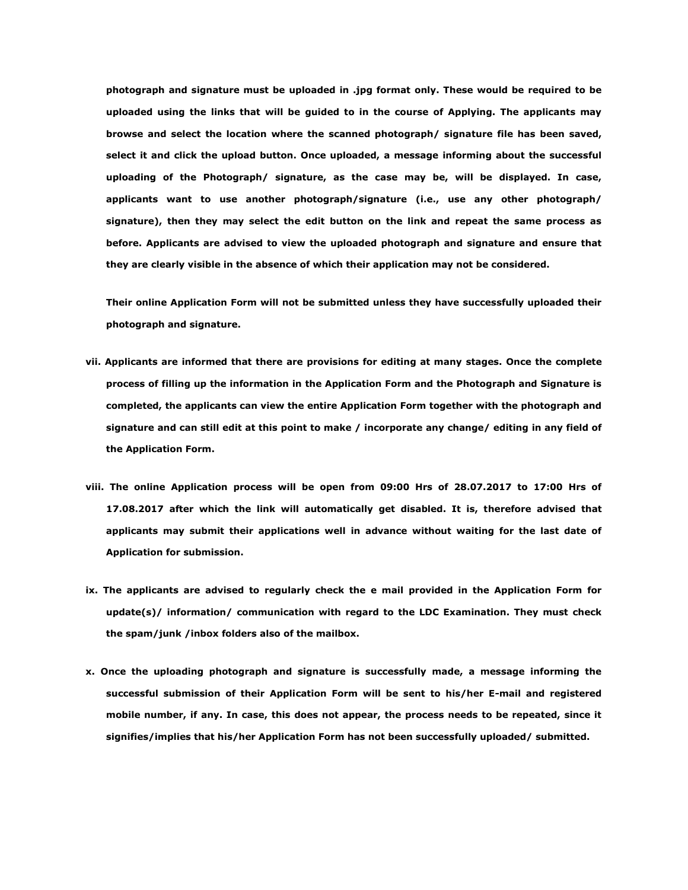**photograph and signature must be uploaded in .jpg format only. These would be required to be uploaded using the links that will be guided to in the course of Applying. The applicants may browse and select the location where the scanned photograph/ signature file has been saved, select it and click the upload button. Once uploaded, a message informing about the successful uploading of the Photograph/ signature, as the case may be, will be displayed. In case, applicants want to use another photograph/signature (i.e., use any other photograph/ signature), then they may select the edit button on the link and repeat the same process as before. Applicants are advised to view the uploaded photograph and signature and ensure that they are clearly visible in the absence of which their application may not be considered.**

**Their online Application Form will not be submitted unless they have successfully uploaded their photograph and signature.** 

- **vii. Applicants are informed that there are provisions for editing at many stages. Once the complete process of filling up the information in the Application Form and the Photograph and Signature is completed, the applicants can view the entire Application Form together with the photograph and signature and can still edit at this point to make / incorporate any change/ editing in any field of the Application Form.**
- **viii. The online Application process will be open from 09:00 Hrs of 28.07.2017 to 17:00 Hrs of 17.08.2017 after which the link will automatically get disabled. It is, therefore advised that applicants may submit their applications well in advance without waiting for the last date of Application for submission.**
- **ix. The applicants are advised to regularly check the e mail provided in the Application Form for update(s)/ information/ communication with regard to the LDC Examination. They must check the spam/junk /inbox folders also of the mailbox.**
- **x. Once the uploading photograph and signature is successfully made, a message informing the successful submission of their Application Form will be sent to his/her E-mail and registered mobile number, if any. In case, this does not appear, the process needs to be repeated, since it signifies/implies that his/her Application Form has not been successfully uploaded/ submitted.**